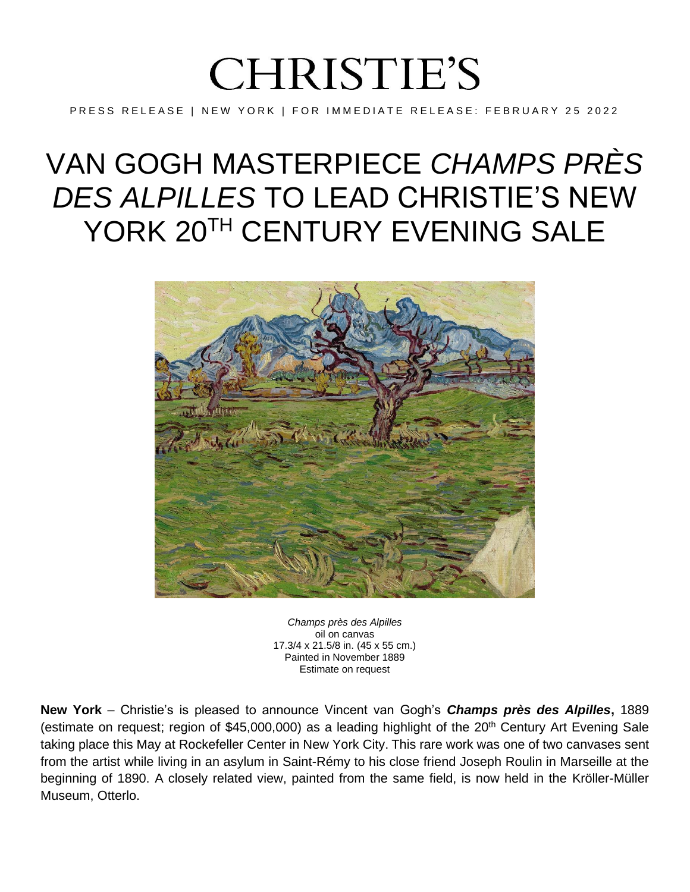## **CHRISTIE'S**

PRESS RELEASE | NEW YORK | FOR IMMEDIATE RELEASE: FEBRUARY 25 2022

## VAN GOGH MASTERPIECE *CHAMPS PRÈS DES ALPILLES* TO LEAD CHRISTIE'S NEW YORK 20<sup>TH</sup> CENTURY EVENING SALE



*Champs près des Alpilles* oil on canvas 17.3/4 x 21.5/8 in. (45 x 55 cm.) Painted in November 1889 Estimate on request

**New York** – Christie's is pleased to announce Vincent van Gogh's *Champs près des Alpilles***,** 1889 (estimate on request; region of \$45,000,000) as a leading highlight of the 20<sup>th</sup> Century Art Evening Sale taking place this May at Rockefeller Center in New York City. This rare work was one of two canvases sent from the artist while living in an asylum in Saint-Rémy to his close friend Joseph Roulin in Marseille at the beginning of 1890. A closely related view, painted from the same field, is now held in the Kröller-Müller Museum, Otterlo.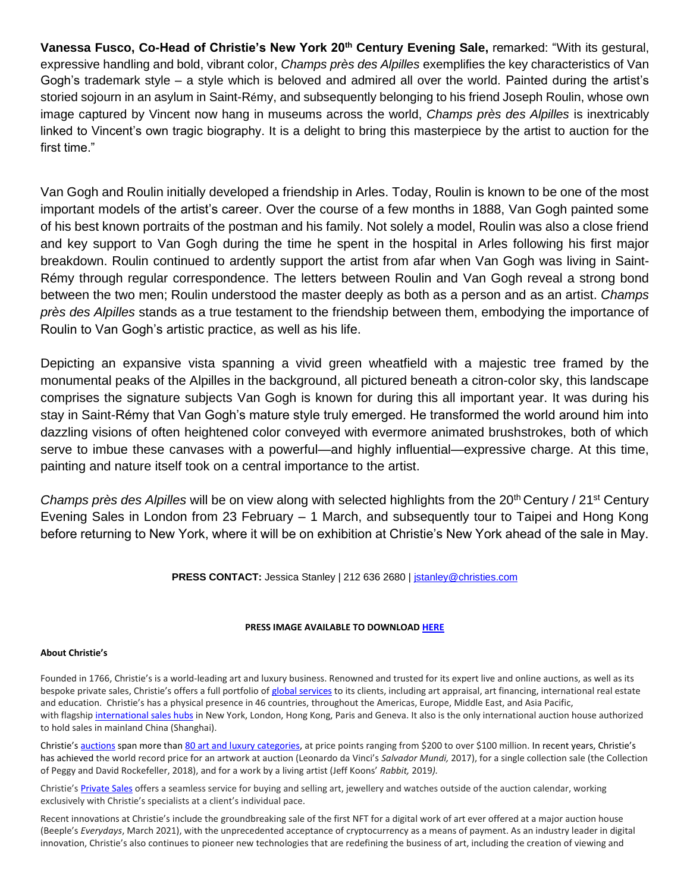**Vanessa Fusco, Co-Head of Christie's New York 20th Century Evening Sale,** remarked: "With its gestural, expressive handling and bold, vibrant color, *Champs près des Alpilles* exemplifies the key characteristics of Van Gogh's trademark style – a style which is beloved and admired all over the world. Painted during the artist's storied sojourn in an asylum in Saint-Rémy, and subsequently belonging to his friend Joseph Roulin, whose own image captured by Vincent now hang in museums across the world, *Champs près des Alpilles* is inextricably linked to Vincent's own tragic biography. It is a delight to bring this masterpiece by the artist to auction for the first time."

Van Gogh and Roulin initially developed a friendship in Arles. Today, Roulin is known to be one of the most important models of the artist's career. Over the course of a few months in 1888, Van Gogh painted some of his best known portraits of the postman and his family. Not solely a model, Roulin was also a close friend and key support to Van Gogh during the time he spent in the hospital in Arles following his first major breakdown. Roulin continued to ardently support the artist from afar when Van Gogh was living in Saint-Rémy through regular correspondence. The letters between Roulin and Van Gogh reveal a strong bond between the two men; Roulin understood the master deeply as both as a person and as an artist. *Champs près des Alpilles* stands as a true testament to the friendship between them, embodying the importance of Roulin to Van Gogh's artistic practice, as well as his life.

Depicting an expansive vista spanning a vivid green wheatfield with a majestic tree framed by the monumental peaks of the Alpilles in the background, all pictured beneath a citron-color sky, this landscape comprises the signature subjects Van Gogh is known for during this all important year. It was during his stay in Saint-Rémy that Van Gogh's mature style truly emerged. He transformed the world around him into dazzling visions of often heightened color conveyed with evermore animated brushstrokes, both of which serve to imbue these canvases with a powerful—and highly influential—expressive charge. At this time, painting and nature itself took on a central importance to the artist.

*Champs près des Alpilles* will be on view along with selected highlights from the 20th Century / 21st Century Evening Sales in London from 23 February – 1 March, and subsequently tour to Taipei and Hong Kong before returning to New York, where it will be on exhibition at Christie's New York ahead of the sale in May.

PRESS CONTACT: Jessica Stanley | 212 636 2680 | [jstanley@christies.com](mailto:jstanley@christies.com)

## **PRESS IMAGE AVAILABLE TO DOWNLOAD [HERE](https://www.dropbox.com/s/kp8lkkkkz9j3qh2/Van%20Gogh%2C%20Champs%20pr%C3%A8s%20des%20Alpilles.jpg?dl=0)**

## **About Christie's**

Founded in 1766, Christie's is a world-leading art and luxury business. Renowned and trusted for its expert live and online auctions, as well as its bespoke private sales, Christie's offers a full portfolio of [global services](https://www.christies.com/en/services) to its clients, including art appraisal, art financing, international real estate and education. Christie's has a physical presence in 46 countries, throughout the Americas, Europe, Middle East, and Asia Pacific, with flagship [international sales hubs](https://www.christies.com/locations/) in New York, London, Hong Kong, Paris and Geneva. It also is the only international auction house authorized to hold sales in mainland China (Shanghai).

Christie's [auctions](https://www.christies.com/calendar/) span more tha[n 80 art and luxury categories,](https://www.christies.com/departments/Index.aspx) at price points ranging from \$200 to over \$100 million. In recent years, Christie's has achieved the world record price for an artwork at auction (Leonardo da Vinci's *Salvador Mundi,* 2017), for a single collection sale (the Collection of Peggy and David Rockefeller, 2018), and for a work by a living artist (Jeff Koons' *Rabbit,* 2019*).*

Christie's [Private Sales](https://www.christies.com/privatesales/index?lid=1&sc_lang=en) offers a seamless service for buying and selling art, jewellery and watches outside of the auction calendar, working exclusively with Christie's specialists at a client's individual pace.

Recent innovations at Christie's include the groundbreaking sale of the first NFT for a digital work of art ever offered at a major auction house (Beeple's *Everydays*, March 2021), with the unprecedented acceptance of cryptocurrency as a means of payment. As an industry leader in digital innovation, Christie's also continues to pioneer new technologies that are redefining the business of art, including the creation of viewing and